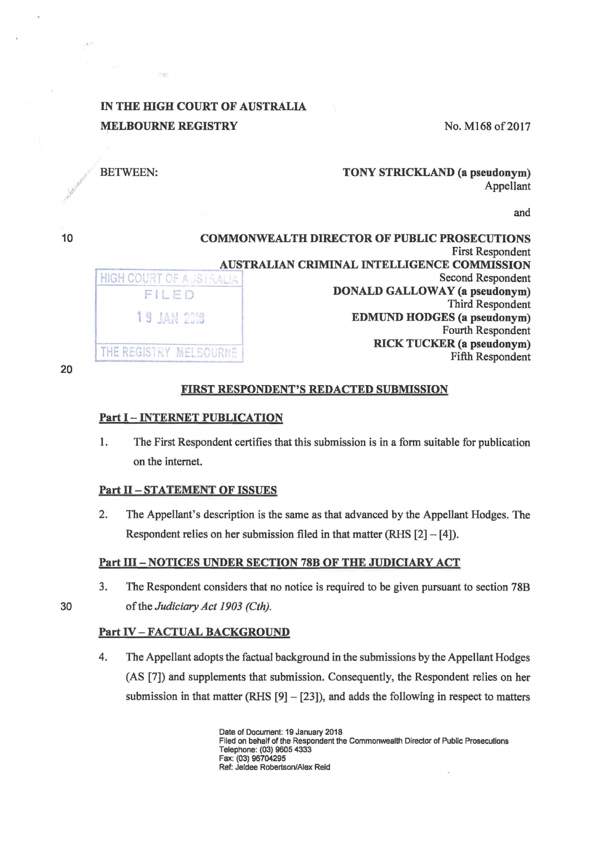# IN THE HIGH COURT OF AUSTRALIA **MELBOURNE REGISTRY**

No. M168 of 2017

# BETWEEN:

TONY STRICKLAND (a pseudonym) Appellant

and

10 COMMONWEALTH DIRECTOR OF PUBLIC PROSECUTIONS First Respondent AUSTRALIAN CRIMINAL INTELLIGENCE COMMISSION<br>Second Respondent HIGH COURT OF AUSTRALIA FILED **DONALD GALLOWAY (a pseudonym)** Third Respondent 1 9 JAN 2018 **EDMUND HODGES (a pseudonym)** Fourth Respondent RICK TUCKER (a pseudonym) THE REGISTRY MELBOURNE Fifth Respondent

20

y (1) *,y r'* 

## FIRST RESPONDENT'S REDACTED SUBMISSION

### Part I - INTERNET PUBLICATION

1. The First Respondent certifies that this submission is in a form suitable for publication on the intemet.

#### Part II - STATEMENT OF ISSUES

2. The Appellant's description is the same as that advanced by the Appellant Hodges. The Respondent relies on her submission filed in that matter (RHS  $[2] - [4]$ ).

# Part III - NOTICES UNDER SECTION 78B OF THE JUDICIARY ACT

3. The Respondent considers that no notice is required to be given pursuant to section 78B 30 of the *Judiciary Act 1903 (Cth).* 

## Part IV-FACTUAL BACKGROUND

4. The Appellant adopts the factual background in the submissions by the Appellant Hodges (AS [7]) and supplements that submission. Consequently, the Respondent relies on her submission in that matter (RHS  $[9] - [23]$ ), and adds the following in respect to matters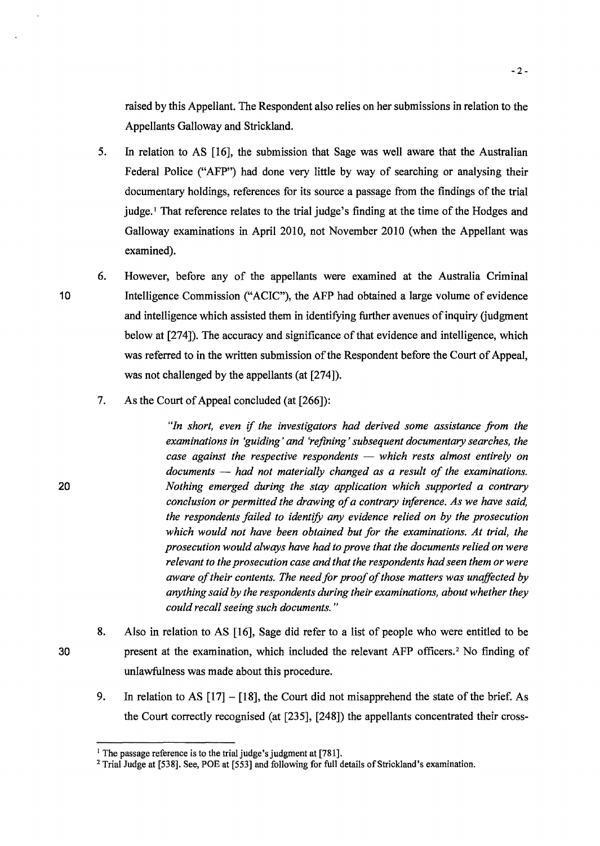raised by this Appellant. The Respondent also relies on her submissions in relation to the Appellants Galloway and Strickland.

- 5. In relation to AS [16], the submission that Sage was well aware that the Australian Federal Police ("AFP") had done very little by way of searching or analysing their documentary holdings, references for its source a passage from the findings of the trial judge.<sup>1</sup> That reference relates to the trial judge's finding at the time of the Hodges and Galloway examinations in April 2010, not November 2010 (when the Appellant was examined).
- 6. However, before any of the appellants were examined at the Australia Criminal 10 Intelligence Commission ("ACIC"), the AFP had obtained a large volume of evidence and intelligence which assisted them in identifying further avenues of inquiry (judgment below at [274]). The accuracy and significance of that evidence and intelligence, which was referred to in the written submission of the Respondent before the Court of Appeal, was not challenged by the appellants (at [274]).
	- 7. As the Court of Appeal concluded (at [266]):

*"In short, even* if *the investigators had derived some assistance from the examinations in 'guiding' and 'refining' subsequent documentary searches, the case against the respective respondents — which rests almost entirely on documents* - *had not materially changed as a result of the examinations.*  20 *Nothing emerged during the stay application which supported a contrary conclusion or permitted the drawing of a contrary inference. As we have said,*  the respondents failed to identify any evidence relied on by the prosecution *which would not have been obtained but for the examinations. At trial, the prosecution would always have had to prove that the documents relied on were relevant to the prosecution case and that the respondents had seen them or were aware of their contents. The need for proof of those matters was unaffected by anything said by the respondents during their examinations, about whether they could recall seeing such documents.* "

- 8. Also in relation to AS [16], Sage did refer to a list of people who were entitled to be 30 present at the examination, which included the relevant AFP officers.<sup>2</sup> No finding of unlawfulness was made about this procedure.
	- 9. In relation to AS  $[17] [18]$ , the Court did not misapprehend the state of the brief. As the Court correctly recognised (at [235], [248]) the appellants concentrated their cross-

<sup>&</sup>lt;sup>1</sup> The passage reference is to the trial judge's judgment at [781].

<sup>&</sup>lt;sup>2</sup> Trial Judge at [538]. See, POE at [553] and following for full details of Strickland's examination.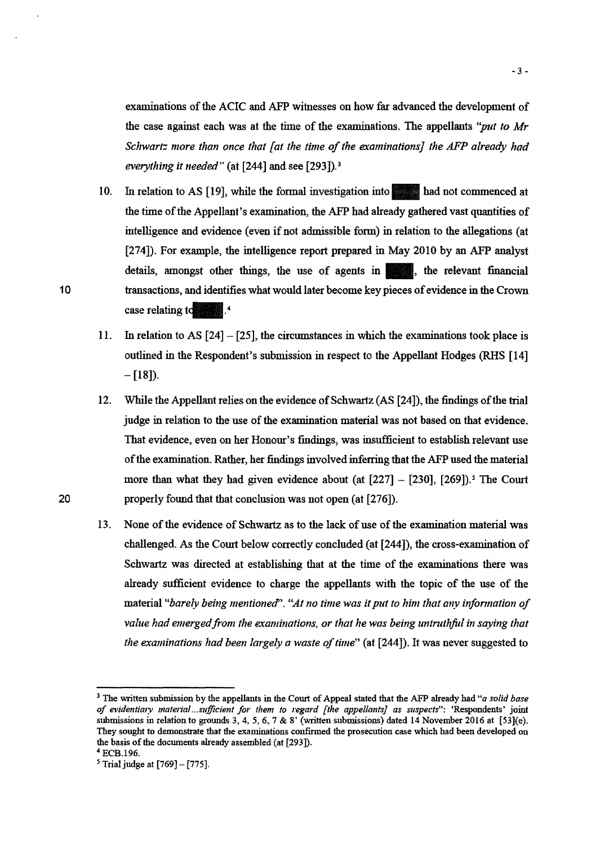examinations of the ACIC and AFP witnesses on how far advanced the development of the case against each was at the time of the examinations. The appellants *"put to Mr Schwart= more than once that {at the time of the examinations] the AFP already had everything it needed"* (at [244] and see [293]). 3

- 10. In relation to AS [19], while the formal investigation into had not commenced at the time of the Appellant's examination, the AFP had already gathered vast quantities of intelligence and evidence (even if not admissible form) in relation to the allegations (at [274]). For example, the intelligence report prepared in May 2010 by an AFP analyst intelligence and evidence (even if not admissible form) in relation to the allegations (at [274]). For example, the intelligence report prepared in May 2010 by an AFP analyst details, amongst other things, the use of agent transactions, and identifies what would later become key pieces of evidence in the Crown case relating to  $\frac{4}{3}$ .
- 11. In relation to AS [24] [25], the circumstances in which the examinations took place is outlined in the Respondent's submission in respect to the Appellant Hodges (RHS [14]  $-[18]$ .
- 12. While the Appellant relies on the evidence of Schwartz (AS [24]), the findings of the trial judge in relation to the use of the examination material was not based on that evidence. That evidence, even on her Honour's findings, was insufficient to establish relevant use of the examination. Rather, her findings involved inferring that the AFP used the material more than what they had given evidence about (at  $[227] - [230]$ ,  $[269]$ ).<sup>5</sup> The Court 20 properly found that that conclusion was not open (at [276]).
	- 13. None of the evidence of Schwartz as to the lack of use of the examination material was challenged. As the Court below correctly concluded (at [244]), the cross-examination of Schwartz was directed at establishing that at the time of the examinations there was already sufficient evidence to charge the appellants with the topic of the use of the material "barely being mentioned". "At no time was it put to him that any information of *value had emerged from the examinations, or that he was being untruthful in saying that the examinations had been largely a waste of time"* (at [244]). It was never suggested to

10

<sup>3</sup> The written submission by the appellants in the Court of Appeal stated that the AFP already had *"a solid base of evidentia1y material...sufficient for them to regard [the appellants] as suspects":* 'Respondents' joint submissions in relation to grounds 3, 4, *5,* 6, 7 & 8' (written submissions) dated 14 November 2016 at [53](e). They sought to demonstrate that the examinations confinned the prosecution case which had been developed on the basis of the documents already assembled (at [293]). <sup>4</sup> ECB.l96.

*<sup>5</sup>*Trial judge at [769]- [775].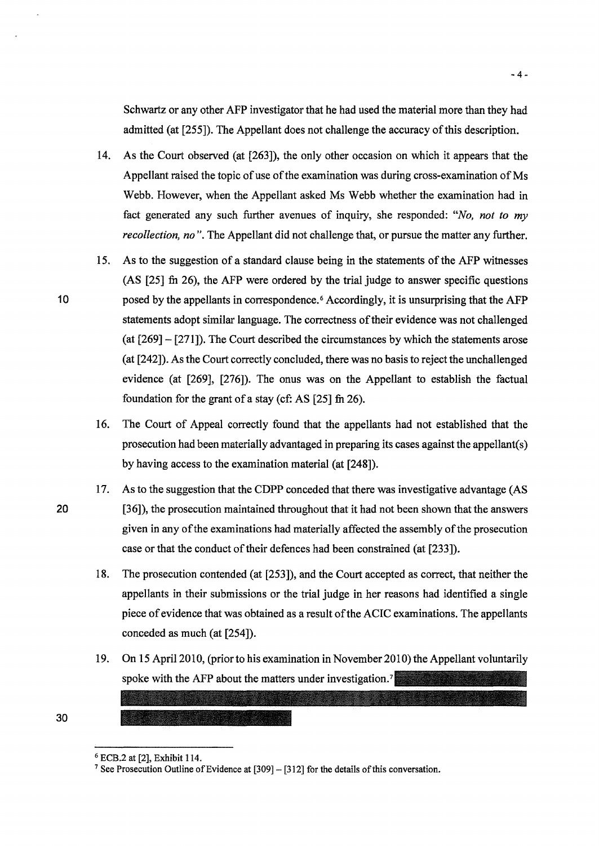Schwartz or any other AFP investigator that he had used the material more than they had admitted (at [255]). The Appellant does not challenge the accuracy of this description.

- 14. As the Court observed (at [263]), the only other occasion on which it appears that the Appellant raised the topic of use of the examination was during cross-examination of Ms Webb. However, when the Appellant asked Ms Webb whether the examination had in fact generated any such further avenues of inquiry, she responded: *"No, not to my recollection, no".* The Appellant did not challenge that, or pursue the matter any further.
- 15. As to the suggestion of a standard clause being in the statements of the AFP witnesses  $(AS [25]$  fn 26), the AFP were ordered by the trial judge to answer specific questions posed by the appellants in correspondence. 6 Accordingly, it is unsurprising that the AFP statements adopt similar language. The correctness oftheir evidence was not challenged (at [269]- [271]). The Court described the circumstances by which the statements arose (at [242]). As the Court correctly concluded, there was no basis to reject the unchallenged evidence (at [269], [276]). The onus was on the Appellant to establish the factual foundation for the grant of a stay ( $cf$ : AS [25] fn 26).
- 16. The Court of Appeal correctly found that the appellants had not established that the prosecution had been materially advantaged in preparing its cases against the appellant( s) by having access to the examination material (at [248]).
- 17. As to the suggestion that the CDPP conceded that there was investigative advantage (AS [36]), the prosecution maintained throughout that it had not been shown that the answers given in any ofthe examinations had materially affected the assembly of the prosecution case or that the conduct of their defences had been constrained (at [233]).
	- 18. The prosecution contended (at [253]), and the Court accepted as correct, that neither the appellants in their submissions or the trial judge in her reasons had identified a single piece of evidence that was obtained as a result of the ACIC examinations. The appellants conceded as much (at [254]).
	- 19. On 15 April 2010, (prior to his examination in November 2010) the Appellant voluntarily spoke with the AFP about the matters under investigation.<sup>7</sup> **Republika State Adam**

20

30

10

<sup>&</sup>lt;sup>6</sup> ECB.2 at [2], Exhibit 114.<br><sup>7</sup> See Prosecution Outline of Evidence at [309] – [312] for the details of this conversation.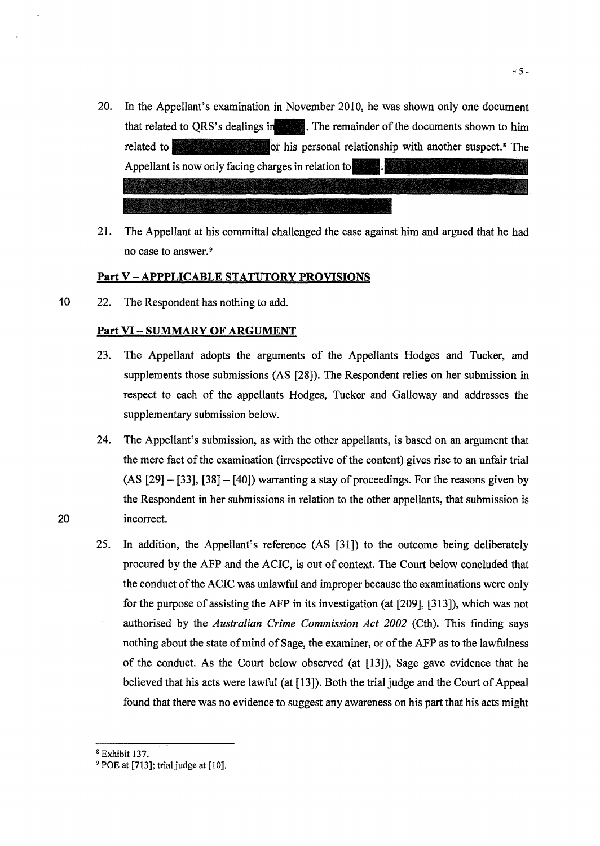- 20. In the Appellant's examination in November 2010, he was shown only one document that related to QRS's dealings in The remainder of the documents shown to him related to his personal relationship with another suspect.<sup>8</sup> The Appellant is now only facing charges in relation to
- 21. The Appellant at his committal challenged the case against him and argued that he had no case to answer. <sup>9</sup>

#### Part V-APPPLICABLE STATUTORY PROVISIONS

10 22. The Respondent has nothing to add.

#### Part VI- SUMMARY OF ARGUMENT

- 23. The Appellant adopts the arguments of the Appellants Hodges and Tucker, and supplements those submissions (AS [28]). The Respondent relies on her submission in respect to each of the appellants Hodges, Tucker and Galloway and addresses the supplementary submission below.
- 24. The Appellant's submission, as with the other appellants, is based on an argument that the mere fact of the examination (irrespective of the content) gives rise to an unfair trial  $(AS [29] - [33], [38] - [40])$  warranting a stay of proceedings. For the reasons given by the Respondent in her submissions in relation to the other appellants, that submission is incorrect.
- 25. In addition, the Appellant's reference (AS [31]) to the outcome being deliberately procured by the AFP and the ACIC, is out of context. The Court below concluded that the conduct of the ACIC was unlawful and improper because the examinations were only for the purpose of assisting the AFP in its investigation (at [209], [313]), which was not authorised by the *Australian Crime Commission Act 2002* (Cth). This finding says nothing about the state of mind of Sage, the examiner, or of the AFP as to the lawfulness of the conduct. As the Court below observed (at [13]), Sage gave evidence that he believed that his acts were lawful (at [13]). Both the trial judge and the Court of Appeal found that there was no evidence to suggest any awareness on his part that his acts might

~5-

# 20

 $8$  Exhibit 137.<br> $9$  POE at [713]; trial judge at [10].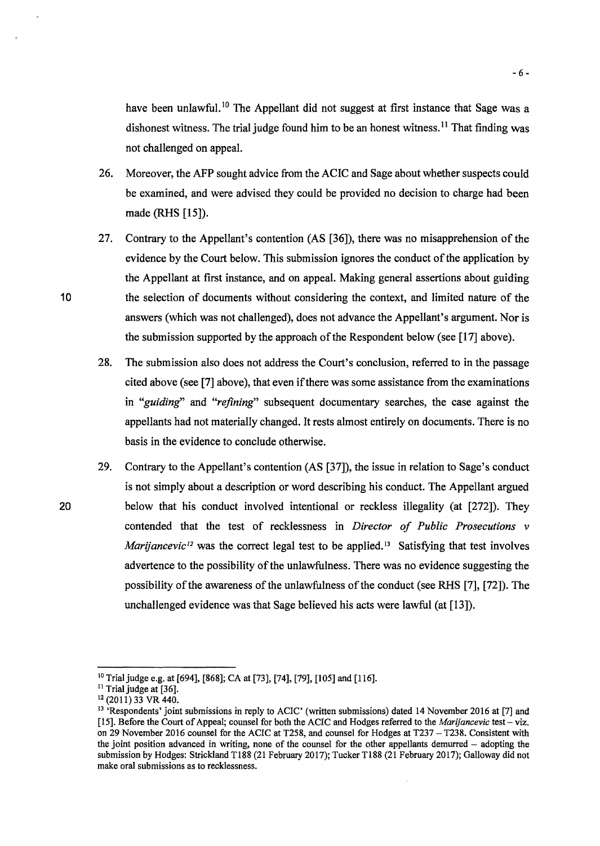have been unlawful.<sup>10</sup> The Appellant did not suggest at first instance that Sage was a dishonest witness. The trial judge found him to be an honest witness.<sup>11</sup> That finding was not challenged on appeal.

- 26. Moreover, the AFP sought advice from the ACIC and Sage about whether suspects could be examined, and were advised they could be provided no decision to charge had been made (RHS [15]).
- 27. Contrary to the Appellant's contention (AS [36]), there was no misapprehension of the evidence by the Court below. This submission ignores the conduct of the application by the Appellant at first instance, and on appeal. Making general assertions about guiding 10 the selection of documents without considering the context, and limited nature of the answers (which was not challenged), does not advance the Appellant's argument. Nor is the submission supported by the approach of the Respondent below (see [17] above).
	- 28. The submission also does not address the Court's conclusion, referred to in the passage cited above (see [7] above), that even ifthere was some assistance from the examinations in *"guiding"* and *"refining"* subsequent documentary searches, the case against the appellants had not materially changed. It rests almost entirely on documents. There is no basis in the evidence to conclude otherwise.
- 29. Contrary to the Appellant's contention (AS [37]), the issue in relation to Sage's conduct is not simply about a description or word describing his conduct. The Appellant argued 20 below that his conduct involved intentional or reckless illegality (at [272]). They contended that the test of recklessness in *Director of Public Prosecutions v Marijancevic<sup>12</sup>* was the correct legal test to be applied.<sup>13</sup> Satisfying that test involves advertence to the possibility of the unlawfulness. There was no evidence suggesting the possibility of the awareness of the unlawfulness of the conduct (see RHS [7], [72]). The unchallenged evidence was that Sage believed his acts were lawful (at [13]).

<sup>&</sup>lt;sup>10</sup> Trial judge e.g. at [694], [868]; CA at [73], [74], [79], [105] and [116].

<sup>&</sup>lt;sup>11</sup> Trial judge at [36].<br><sup>12</sup> (2011) 33 VR 440.

<sup>&</sup>lt;sup>13</sup> 'Respondents' joint submissions in reply to ACIC' (written submissions) dated 14 November 2016 at [7] and [15]. Before the Court of Appeal; counsel for both the ACIC and Hodges referred to the *Marijancevic* test- viz. on 29 November 2016 counsel for the ACIC at T258, and counsel for Hodges at T237- T238. Consistent with the joint position advanced in writing, none of the counsel for the other appellants demurred  $-$  adopting the submission by Hodges: Strickland T188 (21 February 2017); Tucker T188 (21 February 2017); Galloway did not make oral submissions as to recklessness.